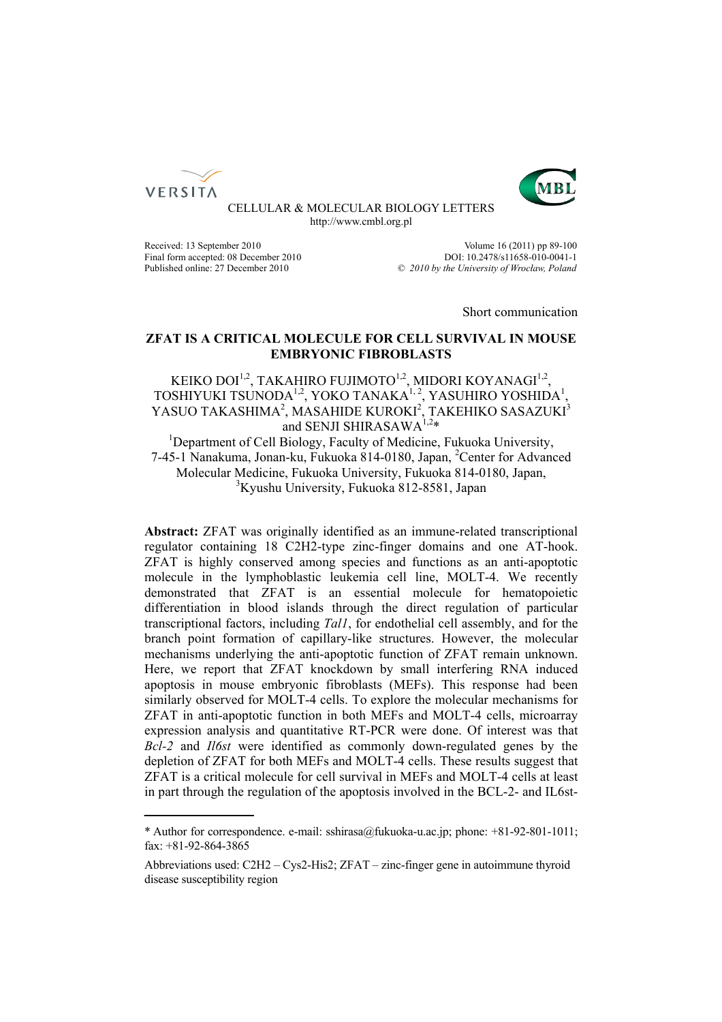



CELLULAR & MOLECULAR BIOLOGY LETTERS http://www.cmbl.org.pl

Final form accepted: 08 December 2010

Received: 13 September 2010<br>
Final form accepted: 08 December 2010<br>  $DOL: 10.2478 \times 11658 - 010 - 0041 - 1$ Published online: 27 December 2010 *© 2010 by the University of Wrocław, Poland*

Short communication

## **ZFAT IS A CRITICAL MOLECULE FOR CELL SURVIVAL IN MOUSE EMBRYONIC FIBROBLASTS**

# KEIKO DOI<sup>1,2</sup>, TAKAHIRO FUJIMOTO<sup>1,2</sup>, MIDORI KOYANAGI<sup>1,2</sup>, TOSHIYUKI TSUNODA<sup>1,2</sup>, YOKO TANAKA<sup>1,2</sup>, YASUHIRO YOSHIDA<sup>1</sup>, YASUO TAKASHIMA<sup>2</sup>, MASAHIDE KUROKI<sup>2</sup>, TAKEHIKO SASAZUKI<sup>3</sup> and SENJI SHIRASAWA<sup>1,2\*</sup>

<sup>1</sup>Department of Cell Biology, Faculty of Medicine, Fukuoka University, 7-45-1 Nanakuma, Jonan-ku, Fukuoka 814-0180, Japan, <sup>2</sup>Center for Advanced Molecular Medicine, Fukuoka University, Fukuoka 814-0180, Japan, 3 Kyushu University, Fukuoka 812-8581, Japan

**Abstract:** ZFAT was originally identified as an immune-related transcriptional regulator containing 18 C2H2-type zinc-finger domains and one AT-hook. ZFAT is highly conserved among species and functions as an anti-apoptotic molecule in the lymphoblastic leukemia cell line, MOLT-4. We recently demonstrated that ZFAT is an essential molecule for hematopoietic differentiation in blood islands through the direct regulation of particular transcriptional factors, including *Tal1*, for endothelial cell assembly, and for the branch point formation of capillary-like structures. However, the molecular mechanisms underlying the anti-apoptotic function of ZFAT remain unknown. Here, we report that ZFAT knockdown by small interfering RNA induced apoptosis in mouse embryonic fibroblasts (MEFs). This response had been similarly observed for MOLT-4 cells. To explore the molecular mechanisms for ZFAT in anti-apoptotic function in both MEFs and MOLT-4 cells, microarray expression analysis and quantitative RT-PCR were done. Of interest was that *Bcl-2* and *Il6st* were identified as commonly down-regulated genes by the depletion of ZFAT for both MEFs and MOLT-4 cells. These results suggest that ZFAT is a critical molecule for cell survival in MEFs and MOLT-4 cells at least in part through the regulation of the apoptosis involved in the BCL-2- and IL6st-

<sup>\*</sup> Author for correspondence. e-mail: sshirasa@fukuoka-u.ac.jp; phone: +81-92-801-1011; fax: +81-92-864-3865

Abbreviations used: C2H2 – Cys2-His2; ZFAT – zinc-finger gene in autoimmune thyroid disease susceptibility region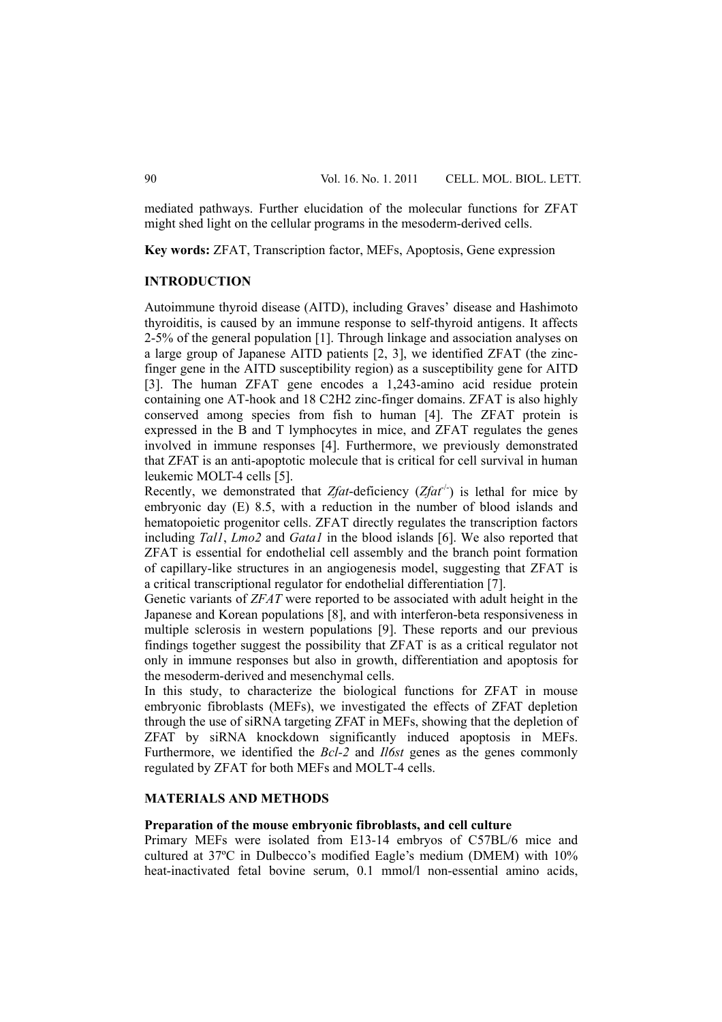mediated pathways. Further elucidation of the molecular functions for ZFAT might shed light on the cellular programs in the mesoderm-derived cells.

**Key words:** ZFAT, Transcription factor, MEFs, Apoptosis, Gene expression

## **INTRODUCTION**

Autoimmune thyroid disease (AITD), including Graves' disease and Hashimoto thyroiditis, is caused by an immune response to self-thyroid antigens. It affects 2-5% of the general population [1]. Through linkage and association analyses on a large group of Japanese AITD patients [2, 3], we identified ZFAT (the zincfinger gene in the AITD susceptibility region) as a susceptibility gene for AITD [3]. The human ZFAT gene encodes a 1,243-amino acid residue protein containing one AT-hook and 18 C2H2 zinc-finger domains. ZFAT is also highly conserved among species from fish to human [4]. The ZFAT protein is expressed in the B and T lymphocytes in mice, and ZFAT regulates the genes involved in immune responses [4]. Furthermore, we previously demonstrated that ZFAT is an anti-apoptotic molecule that is critical for cell survival in human leukemic MOLT-4 cells [5].

Recently, we demonstrated that  $Z$ *fat*-deficiency ( $Z$ *fat*<sup>-/-</sup>) is lethal for mice by embryonic day (E) 8.5, with a reduction in the number of blood islands and hematopoietic progenitor cells. ZFAT directly regulates the transcription factors including *Tal1*, *Lmo2* and *Gata1* in the blood islands [6]. We also reported that ZFAT is essential for endothelial cell assembly and the branch point formation of capillary-like structures in an angiogenesis model, suggesting that ZFAT is a critical transcriptional regulator for endothelial differentiation [7].

Genetic variants of *ZFAT* were reported to be associated with adult height in the Japanese and Korean populations [8], and with interferon-beta responsiveness in multiple sclerosis in western populations [9]. These reports and our previous findings together suggest the possibility that ZFAT is as a critical regulator not only in immune responses but also in growth, differentiation and apoptosis for the mesoderm-derived and mesenchymal cells.

In this study, to characterize the biological functions for ZFAT in mouse embryonic fibroblasts (MEFs), we investigated the effects of ZFAT depletion through the use of siRNA targeting ZFAT in MEFs, showing that the depletion of ZFAT by siRNA knockdown significantly induced apoptosis in MEFs. Furthermore, we identified the *Bcl-2* and *Il6st* genes as the genes commonly regulated by ZFAT for both MEFs and MOLT-4 cells.

## **MATERIALS AND METHODS**

#### **Preparation of the mouse embryonic fibroblasts, and cell culture**

Primary MEFs were isolated from E13-14 embryos of C57BL/6 mice and cultured at 37ºC in Dulbecco's modified Eagle's medium (DMEM) with 10% heat-inactivated fetal bovine serum, 0.1 mmol/l non-essential amino acids,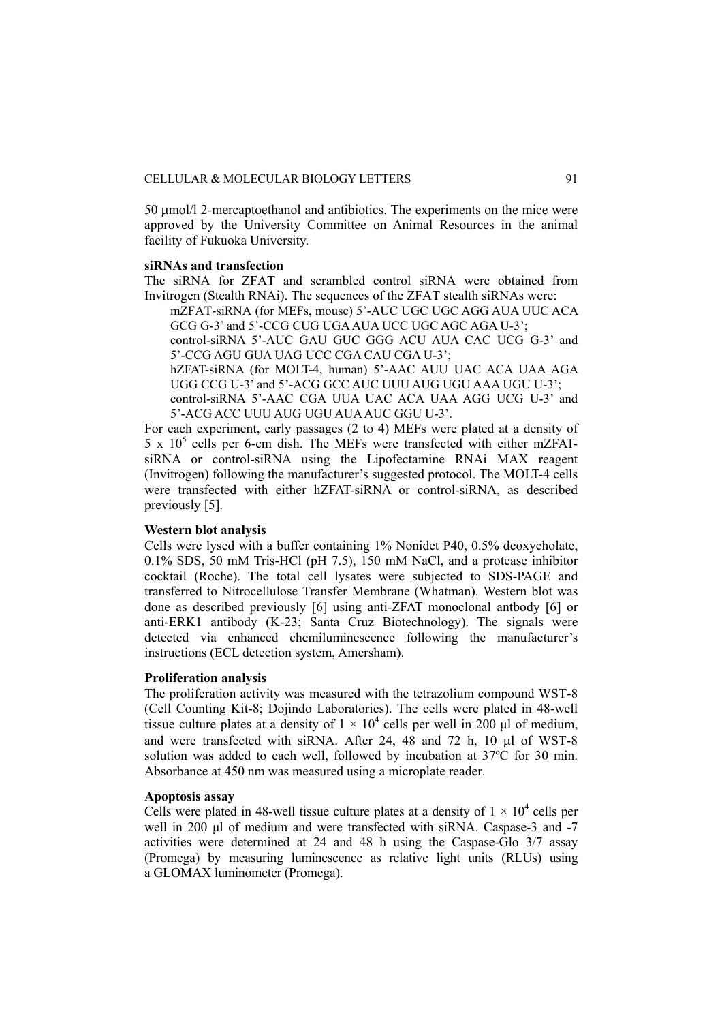50 μmol/l 2-mercaptoethanol and antibiotics. The experiments on the mice were approved by the University Committee on Animal Resources in the animal facility of Fukuoka University.

### **siRNAs and transfection**

The siRNA for ZFAT and scrambled control siRNA were obtained from Invitrogen (Stealth RNAi). The sequences of the ZFAT stealth siRNAs were:

mZFAT-siRNA (for MEFs, mouse) 5'-AUC UGC UGC AGG AUA UUC ACA GCG G-3' and 5'-CCG CUG UGA AUA UCC UGC AGC AGA U-3';

control-siRNA 5'-AUC GAU GUC GGG ACU AUA CAC UCG G-3' and 5'-CCG AGU GUA UAG UCC CGA CAU CGA U-3';

hZFAT-siRNA (for MOLT-4, human) 5'-AAC AUU UAC ACA UAA AGA UGG CCG U-3' and 5'-ACG GCC AUC UUU AUG UGU AAA UGU U-3';

control-siRNA 5'-AAC CGA UUA UAC ACA UAA AGG UCG U-3' and 5'-ACG ACC UUU AUG UGU AUA AUC GGU U-3'.

For each experiment, early passages (2 to 4) MEFs were plated at a density of  $5 \times 10^5$  cells per 6-cm dish. The MEFs were transfected with either mZFATsiRNA or control-siRNA using the Lipofectamine RNAi MAX reagent (Invitrogen) following the manufacturer's suggested protocol. The MOLT-4 cells were transfected with either hZFAT-siRNA or control-siRNA, as described previously [5].

#### **Western blot analysis**

Cells were lysed with a buffer containing 1% Nonidet P40, 0.5% deoxycholate, 0.1% SDS, 50 mM Tris-HCl (pH 7.5), 150 mM NaCl, and a protease inhibitor cocktail (Roche). The total cell lysates were subjected to SDS-PAGE and transferred to Nitrocellulose Transfer Membrane (Whatman). Western blot was done as described previously [6] using anti-ZFAT monoclonal antbody [6] or anti-ERK1 antibody (K-23; Santa Cruz Biotechnology). The signals were detected via enhanced chemiluminescence following the manufacturer's instructions (ECL detection system, Amersham).

#### **Proliferation analysis**

The proliferation activity was measured with the tetrazolium compound WST-8 (Cell Counting Kit-8; Dojindo Laboratories). The cells were plated in 48-well tissue culture plates at a density of  $1 \times 10^4$  cells per well in 200 µl of medium, and were transfected with siRNA. After 24, 48 and 72 h, 10 μl of WST-8 solution was added to each well, followed by incubation at 37ºC for 30 min. Absorbance at 450 nm was measured using a microplate reader.

#### **Apoptosis assay**

Cells were plated in 48-well tissue culture plates at a density of  $1 \times 10^4$  cells per well in 200 μl of medium and were transfected with siRNA. Caspase-3 and -7 activities were determined at 24 and 48 h using the Caspase-Glo 3/7 assay (Promega) by measuring luminescence as relative light units (RLUs) using a GLOMAX luminometer (Promega).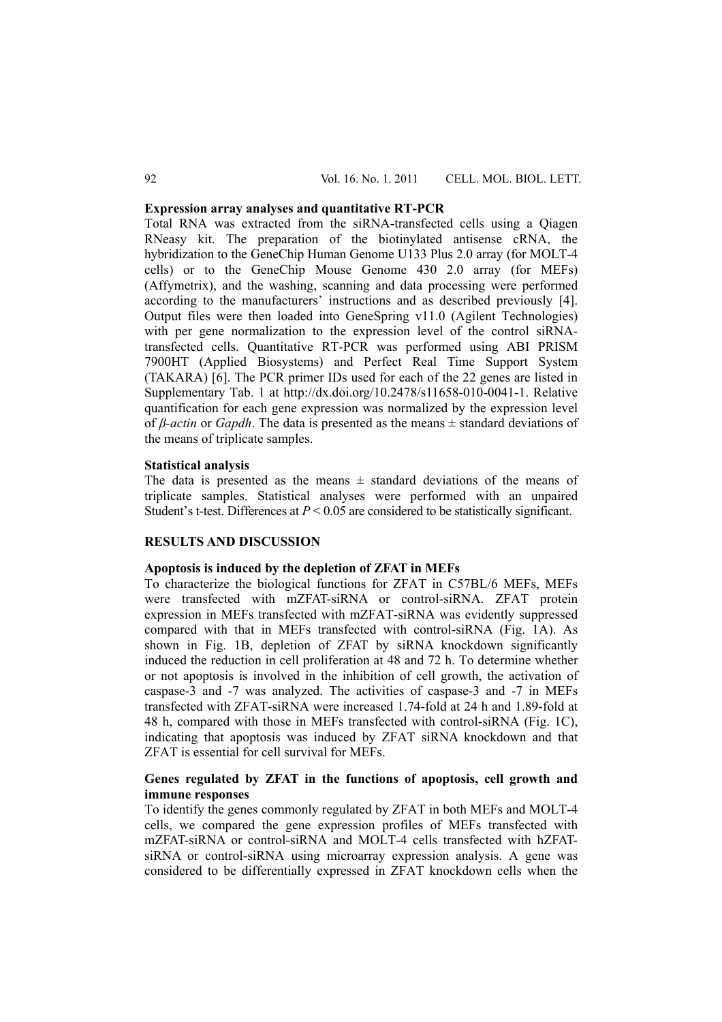### **Expression array analyses and quantitative RT-PCR**

Total RNA was extracted from the siRNA-transfected cells using a Qiagen RNeasy kit. The preparation of the biotinylated antisense cRNA, the hybridization to the GeneChip Human Genome U133 Plus 2.0 array (for MOLT-4 cells) or to the GeneChip Mouse Genome 430 2.0 array (for MEFs) (Affymetrix), and the washing, scanning and data processing were performed according to the manufacturers' instructions and as described previously [4]. Output files were then loaded into GeneSpring v11.0 (Agilent Technologies) with per gene normalization to the expression level of the control siRNAtransfected cells. Quantitative RT-PCR was performed using ABI PRISM 7900HT (Applied Biosystems) and Perfect Real Time Support System (TAKARA) [6]. The PCR primer IDs used for each of the 22 genes are listed in Supplementary Tab. 1 at http://dx.doi.org/10.2478/s11658-010-0041-1. Relative quantification for each gene expression was normalized by the expression level of *β-actin* or *Gapdh*. The data is presented as the means ± standard deviations of the means of triplicate samples.

#### **Statistical analysis**

The data is presented as the means  $\pm$  standard deviations of the means of triplicate samples. Statistical analyses were performed with an unpaired Student's t-test. Differences at  $P \le 0.05$  are considered to be statistically significant.

### **RESULTS AND DISCUSSION**

#### **Apoptosis is induced by the depletion of ZFAT in MEFs**

To characterize the biological functions for ZFAT in C57BL/6 MEFs, MEFs were transfected with mZFAT-siRNA or control-siRNA. ZFAT protein expression in MEFs transfected with mZFAT-siRNA was evidently suppressed compared with that in MEFs transfected with control-siRNA (Fig. 1A). As shown in Fig. 1B, depletion of ZFAT by siRNA knockdown significantly induced the reduction in cell proliferation at 48 and 72 h. To determine whether or not apoptosis is involved in the inhibition of cell growth, the activation of caspase-3 and -7 was analyzed. The activities of caspase-3 and -7 in MEFs transfected with ZFAT-siRNA were increased 1.74-fold at 24 h and 1.89-fold at 48 h, compared with those in MEFs transfected with control-siRNA (Fig. 1C), indicating that apoptosis was induced by ZFAT siRNA knockdown and that ZFAT is essential for cell survival for MEFs.

### **Genes regulated by ZFAT in the functions of apoptosis, cell growth and immune responses**

To identify the genes commonly regulated by ZFAT in both MEFs and MOLT-4 cells, we compared the gene expression profiles of MEFs transfected with mZFAT-siRNA or control-siRNA and MOLT-4 cells transfected with hZFATsiRNA or control-siRNA using microarray expression analysis. A gene was considered to be differentially expressed in ZFAT knockdown cells when the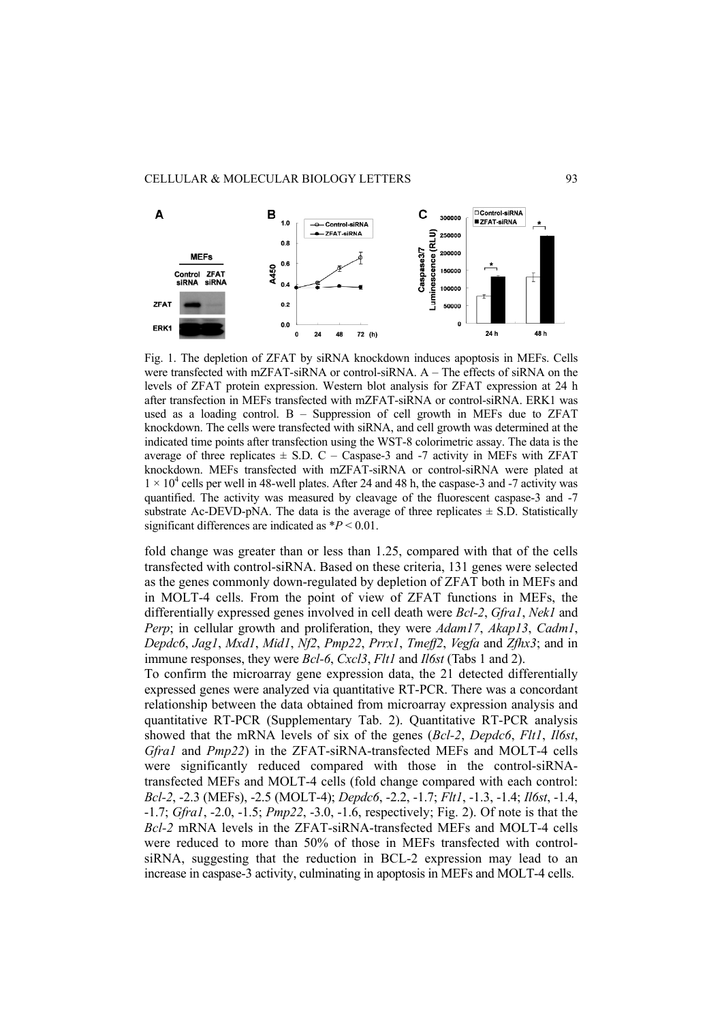

Fig. 1. The depletion of ZFAT by siRNA knockdown induces apoptosis in MEFs. Cells were transfected with mZFAT-siRNA or control-siRNA. A – The effects of siRNA on the levels of ZFAT protein expression. Western blot analysis for ZFAT expression at 24 h after transfection in MEFs transfected with mZFAT-siRNA or control-siRNA. ERK1 was used as a loading control.  $B -$  Suppression of cell growth in MEFs due to ZFAT knockdown. The cells were transfected with siRNA, and cell growth was determined at the indicated time points after transfection using the WST-8 colorimetric assay. The data is the average of three replicates  $\pm$  S.D. C – Caspase-3 and -7 activity in MEFs with ZFAT knockdown. MEFs transfected with mZFAT-siRNA or control-siRNA were plated at  $1 \times 10^4$  cells per well in 48-well plates. After 24 and 48 h, the caspase-3 and -7 activity was quantified. The activity was measured by cleavage of the fluorescent caspase-3 and -7 substrate Ac-DEVD-pNA. The data is the average of three replicates  $\pm$  S.D. Statistically significant differences are indicated as \**P* < 0.01.

fold change was greater than or less than 1.25, compared with that of the cells transfected with control-siRNA. Based on these criteria, 131 genes were selected as the genes commonly down-regulated by depletion of ZFAT both in MEFs and in MOLT-4 cells. From the point of view of ZFAT functions in MEFs, the differentially expressed genes involved in cell death were *Bcl-2*, *Gfra1*, *Nek1* and *Perp*; in cellular growth and proliferation, they were *Adam17*, *Akap13*, *Cadm1*, *Depdc6*, *Jag1*, *Mxd1*, *Mid1*, *Nf2*, *Pmp22*, *Prrx1*, *Tmeff2*, *Vegfa* and *Zfhx3*; and in immune responses, they were *Bcl-6*, *Cxcl3*, *Flt1* and *Il6st* (Tabs 1 and 2).

To confirm the microarray gene expression data, the 21 detected differentially expressed genes were analyzed via quantitative RT-PCR. There was a concordant relationship between the data obtained from microarray expression analysis and quantitative RT-PCR (Supplementary Tab. 2). Quantitative RT-PCR analysis showed that the mRNA levels of six of the genes (*Bcl-2*, *Depdc6*, *Flt1*, *Il6st*, *Gfra1* and *Pmp22*) in the ZFAT-siRNA-transfected MEFs and MOLT-4 cells were significantly reduced compared with those in the control-siRNAtransfected MEFs and MOLT-4 cells (fold change compared with each control: *Bcl-2*, -2.3 (MEFs), -2.5 (MOLT-4); *Depdc6*, -2.2, -1.7; *Flt1*, -1.3, -1.4; *Il6st*, -1.4, -1.7; *Gfra1*, -2.0, -1.5; *Pmp22*, -3.0, -1.6, respectively; Fig. 2). Of note is that the *Bcl-2* mRNA levels in the ZFAT-siRNA-transfected MEFs and MOLT-4 cells were reduced to more than 50% of those in MEFs transfected with controlsiRNA, suggesting that the reduction in BCL-2 expression may lead to an increase in caspase-3 activity, culminating in apoptosis in MEFs and MOLT-4 cells.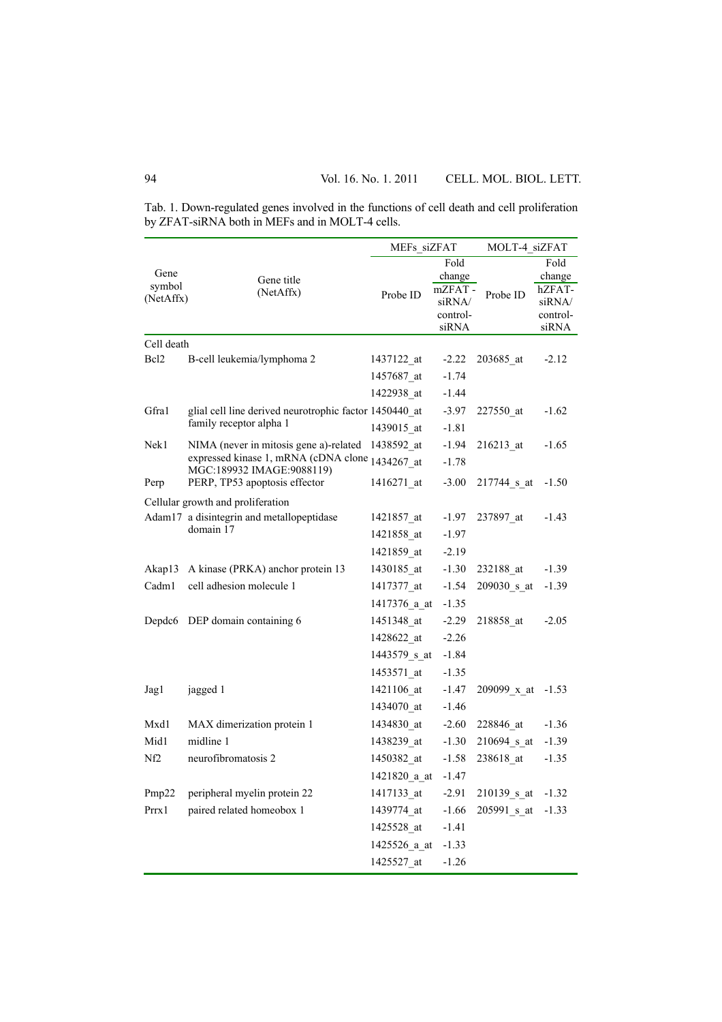Tab. 1. Down-regulated genes involved in the functions of cell death and cell proliferation by ZFAT-siRNA both in MEFs and in MOLT-4 cells.

|                     |                                                                              | MEFs siZFAT  |                   | MOLT-4 siZFAT |                   |
|---------------------|------------------------------------------------------------------------------|--------------|-------------------|---------------|-------------------|
|                     |                                                                              |              | Fold              |               | Fold              |
| Gene                | Gene title                                                                   |              | change            |               | change            |
| symbol<br>(NetAffx) | (NetAffx)                                                                    | Probe ID     | mZFAT-            | Probe ID      | hZFAT-            |
|                     |                                                                              |              | siRNA/            |               | siRNA/            |
|                     |                                                                              |              | control-<br>siRNA |               | control-<br>siRNA |
| Cell death          |                                                                              |              |                   |               |                   |
| Bcl <sub>2</sub>    | B-cell leukemia/lymphoma 2                                                   | 1437122 at   | $-2.22$           | 203685 at     | $-2.12$           |
|                     |                                                                              | 1457687 at   | $-1.74$           |               |                   |
|                     |                                                                              | 1422938 at   | $-1.44$           |               |                   |
| Gfra1               | glial cell line derived neurotrophic factor 1450440 at                       |              | $-3.97$           | 227550 at     | $-1.62$           |
|                     | family receptor alpha 1                                                      | 1439015 at   | $-1.81$           |               |                   |
| Nek1                | NIMA (never in mitosis gene a)-related                                       | 1438592 at   | $-1.94$           | 216213 at     | $-1.65$           |
|                     | expressed kinase 1, mRNA (cDNA clone 1434267_at<br>MGC:189932 IMAGE:9088119) |              | $-1.78$           |               |                   |
| Perp                | PERP, TP53 apoptosis effector                                                | 1416271 at   | $-3.00$           | 217744 s at   | $-1.50$           |
|                     | Cellular growth and proliferation                                            |              |                   |               |                   |
|                     | Adam17 a disintegrin and metallopeptidase                                    | 1421857 at   | $-1.97$           | 237897 at     | $-1.43$           |
|                     | domain 17                                                                    | 1421858 at   | $-1.97$           |               |                   |
|                     |                                                                              | 1421859 at   | $-2.19$           |               |                   |
| Akap13              | A kinase (PRKA) anchor protein 13                                            | 1430185 at   | $-1.30$           | 232188 at     | $-1.39$           |
| Cadm1               | cell adhesion molecule 1                                                     | 1417377 at   | $-1.54$           | 209030 s at   | $-1.39$           |
|                     |                                                                              | 1417376 a at | $-1.35$           |               |                   |
| Depdc <sub>6</sub>  | DEP domain containing 6                                                      | 1451348 at   | $-2.29$           | 218858 at     | $-2.05$           |
|                     |                                                                              | 1428622 at   | $-2.26$           |               |                   |
|                     |                                                                              | 1443579 s at | $-1.84$           |               |                   |
|                     |                                                                              | 1453571 at   | $-1.35$           |               |                   |
| Jag1                | jagged 1                                                                     | 1421106 at   | $-1.47$           | 209099 x at   | $-1.53$           |
|                     |                                                                              | 1434070 at   | $-1.46$           |               |                   |
| Mxd1                | MAX dimerization protein 1                                                   | 1434830 at   | $-2.60$           | 228846 at     | $-1.36$           |
| Mid1                | midline 1                                                                    | 1438239_at   | $-1.30$           | 210694 s at   | $-1.39$           |
| Nf <sub>2</sub>     | neurofibromatosis 2                                                          | 1450382 at   | $-1.58$           | 238618 at     | $-1.35$           |
|                     |                                                                              | 1421820 a at | $-1.47$           |               |                   |
| Pmp22               | peripheral myelin protein 22                                                 | 1417133 at   | $-2.91$           | 210139 s at   | $-1.32$           |
| Prrx1               | paired related homeobox 1                                                    | 1439774 at   | $-1.66$           | 205991_s_at   | $-1.33$           |
|                     |                                                                              | 1425528 at   | $-1.41$           |               |                   |
|                     |                                                                              | 1425526 a at | $-1.33$           |               |                   |
|                     |                                                                              | 1425527_at   | $-1.26$           |               |                   |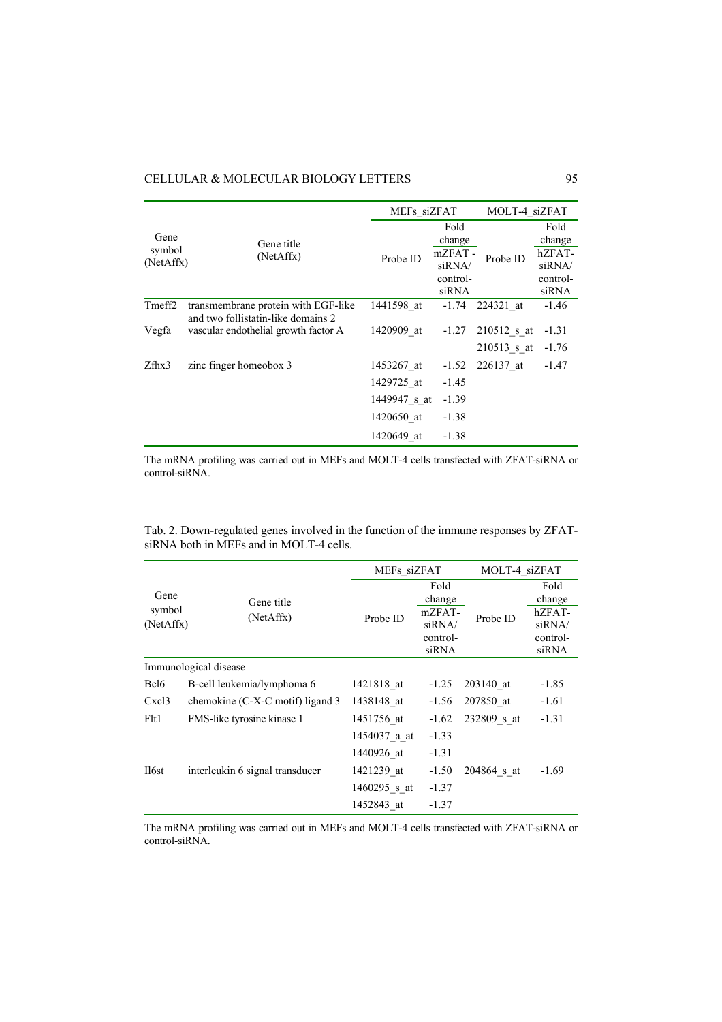## CELLULAR & MOLECULAR BIOLOGY LETTERS 95

|                     |                                                                            | MEFs siZFAT  |                   | MOLT-4 siZFAT |                   |
|---------------------|----------------------------------------------------------------------------|--------------|-------------------|---------------|-------------------|
| Gene                | Gene title<br>(NetAffx)                                                    | Probe ID     | Fold<br>change    |               | Fold<br>change    |
| symbol<br>(NetAffx) |                                                                            |              | mZFAT-<br>siRNA/  | Probe ID      | hZFAT-<br>siRNA/  |
|                     |                                                                            |              | control-<br>siRNA |               | control-<br>siRNA |
| Tmeff <sub>2</sub>  | transmembrane protein with EGF-like                                        | 1441598 at   | $-1.74$           | 224321 at     | $-1.46$           |
| Vegfa               | and two follistatin-like domains 2<br>vascular endothelial growth factor A | 1420909 at   | $-1.27$           | $210512$ s at | $-1.31$           |
|                     |                                                                            |              |                   | $210513$ s_at | $-1.76$           |
| $Z$ fhx $3$         | zinc finger homeobox 3                                                     | 1453267 at   | $-1.52$           | 226137 at     | $-1.47$           |
|                     |                                                                            | 1429725 at   | $-1.45$           |               |                   |
|                     |                                                                            | 1449947 s at | $-1.39$           |               |                   |
|                     |                                                                            | 1420650 at   | $-1.38$           |               |                   |
|                     |                                                                            | 1420649 at   | $-1.38$           |               |                   |

The mRNA profiling was carried out in MEFs and MOLT-4 cells transfected with ZFAT-siRNA or control-siRNA.

|                                         | Tab. 2. Down-regulated genes involved in the function of the immune responses by ZFAT- |
|-----------------------------------------|----------------------------------------------------------------------------------------|
| siRNA both in MEFs and in MOLT-4 cells. |                                                                                        |

|                  |                                            |              | MEFs siZFAT              |             | MOLT-4 siZFAT                |  |
|------------------|--------------------------------------------|--------------|--------------------------|-------------|------------------------------|--|
| Gene<br>symbol   | Gene title<br>(NetAffx)                    | Probe ID     | Fold<br>change<br>mZFAT- |             | Fold<br>change               |  |
| (NetAffx)        |                                            |              | siRNA/<br>control-       | Probe ID    | hZFAT-<br>siRNA/<br>control- |  |
|                  |                                            |              | siRNA                    |             | siRNA                        |  |
|                  | Immunological disease                      |              |                          |             |                              |  |
| Bcl <sub>6</sub> | B-cell leukemia/lymphoma 6                 | 1421818 at   | $-1.25$                  | 203140 at   | $-1.85$                      |  |
| Cxcl3            | chemokine $(C-X-C \text{ motif})$ ligand 3 | 1438148 at   | $-1.56$                  | 207850 at   | $-1.61$                      |  |
| F <sub>lt1</sub> | FMS-like tyrosine kinase 1                 | 1451756 at   | $-1.62$                  | 232809 s at | $-1.31$                      |  |
|                  |                                            | 1454037 a at | $-1.33$                  |             |                              |  |
|                  |                                            | 1440926 at   | $-1.31$                  |             |                              |  |
| Il6st            | interleukin 6 signal transducer            | 1421239 at   | $-1.50$                  | 204864 s at | $-1.69$                      |  |
|                  |                                            | 1460295 s at | $-1.37$                  |             |                              |  |
|                  |                                            | 1452843 at   | $-1.37$                  |             |                              |  |

The mRNA profiling was carried out in MEFs and MOLT-4 cells transfected with ZFAT-siRNA or control-siRNA.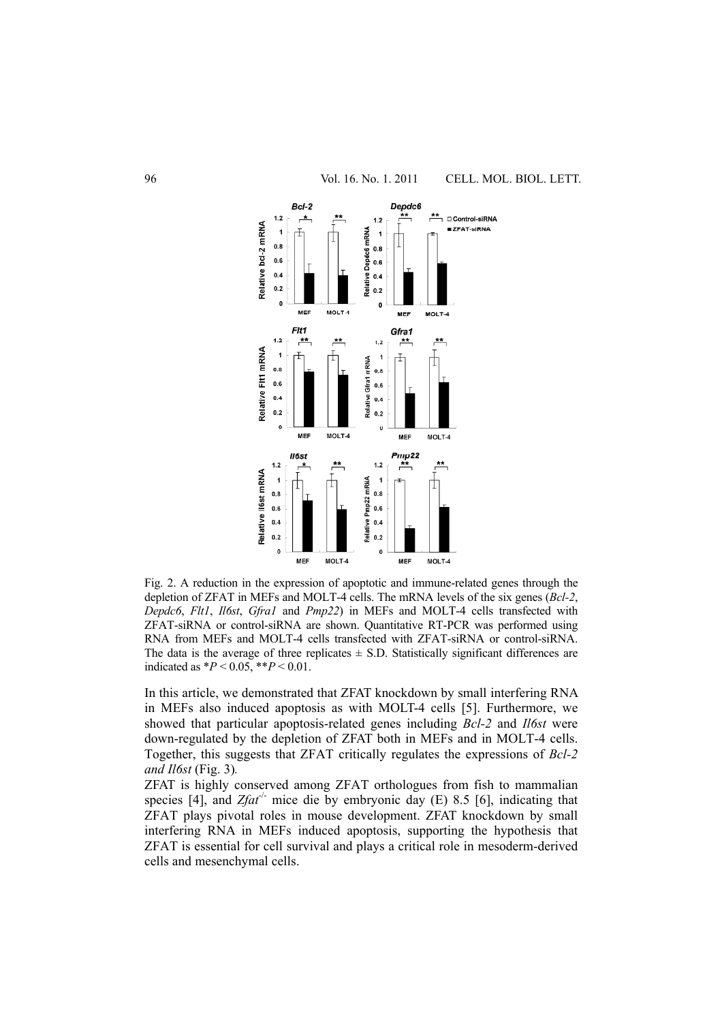

Fig. 2. A reduction in the expression of apoptotic and immune-related genes through the depletion of ZFAT in MEFs and MOLT-4 cells. The mRNA levels of the six genes (*Bcl-2*, *Depdc6*, *Flt1*, *Il6st*, *Gfra1* and *Pmp22*) in MEFs and MOLT-4 cells transfected with ZFAT-siRNA or control-siRNA are shown. Quantitative RT-PCR was performed using RNA from MEFs and MOLT-4 cells transfected with ZFAT-siRNA or control-siRNA. The data is the average of three replicates  $\pm$  S.D. Statistically significant differences are indicated as  $*P < 0.05$ ,  $**P < 0.01$ .

In this article, we demonstrated that ZFAT knockdown by small interfering RNA in MEFs also induced apoptosis as with MOLT-4 cells [5]. Furthermore, we showed that particular apoptosis-related genes including *Bcl-2* and *Il6st* were down-regulated by the depletion of ZFAT both in MEFs and in MOLT-4 cells. Together, this suggests that ZFAT critically regulates the expressions of *Bcl-2 and Il6st* (Fig. 3)*.* 

ZFAT is highly conserved among ZFAT orthologues from fish to mammalian species [4], and  $Zfat^{-/}$  mice die by embryonic day (E) 8.5 [6], indicating that ZFAT plays pivotal roles in mouse development. ZFAT knockdown by small interfering RNA in MEFs induced apoptosis, supporting the hypothesis that ZFAT is essential for cell survival and plays a critical role in mesoderm-derived cells and mesenchymal cells.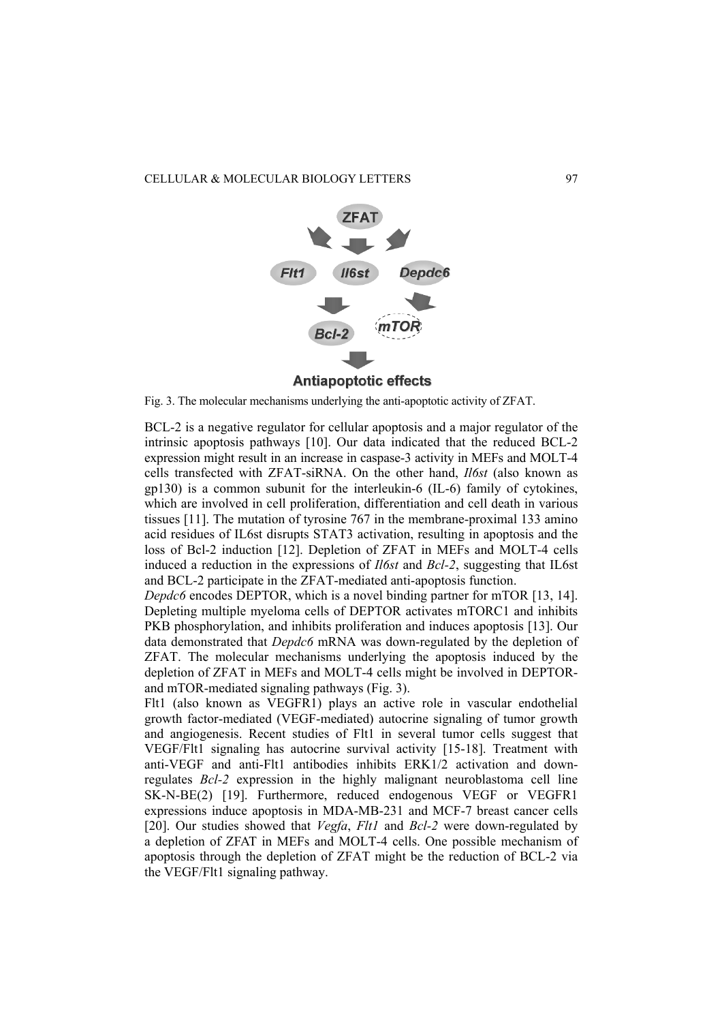

Fig. 3. The molecular mechanisms underlying the anti-apoptotic activity of ZFAT.

BCL-2 is a negative regulator for cellular apoptosis and a major regulator of the intrinsic apoptosis pathways [10]. Our data indicated that the reduced BCL-2 expression might result in an increase in caspase-3 activity in MEFs and MOLT-4 cells transfected with ZFAT-siRNA. On the other hand, *Il6st* (also known as gp130) is a common subunit for the interleukin-6 (IL-6) family of cytokines, which are involved in cell proliferation, differentiation and cell death in various tissues [11]. The mutation of tyrosine 767 in the membrane-proximal 133 amino acid residues of IL6st disrupts STAT3 activation, resulting in apoptosis and the loss of Bcl-2 induction [12]. Depletion of ZFAT in MEFs and MOLT-4 cells induced a reduction in the expressions of *Il6st* and *Bcl-2*, suggesting that IL6st and BCL-2 participate in the ZFAT-mediated anti-apoptosis function.

*Depdc6* encodes DEPTOR, which is a novel binding partner for mTOR [13, 14]. Depleting multiple myeloma cells of DEPTOR activates mTORC1 and inhibits PKB phosphorylation, and inhibits proliferation and induces apoptosis [13]. Our data demonstrated that *Depdc6* mRNA was down-regulated by the depletion of ZFAT. The molecular mechanisms underlying the apoptosis induced by the depletion of ZFAT in MEFs and MOLT-4 cells might be involved in DEPTORand mTOR-mediated signaling pathways (Fig. 3).

Flt1 (also known as VEGFR1) plays an active role in vascular endothelial growth factor-mediated (VEGF-mediated) autocrine signaling of tumor growth and angiogenesis. Recent studies of Flt1 in several tumor cells suggest that VEGF/Flt1 signaling has autocrine survival activity [15-18]. Treatment with anti-VEGF and anti-Flt1 antibodies inhibits ERK1/2 activation and downregulates *Bcl-2* expression in the highly malignant neuroblastoma cell line SK-N-BE(2) [19]. Furthermore, reduced endogenous VEGF or VEGFR1 expressions induce apoptosis in MDA-MB-231 and MCF-7 breast cancer cells [20]. Our studies showed that *Vegfa*, *Flt1* and *Bcl-2* were down-regulated by a depletion of ZFAT in MEFs and MOLT-4 cells. One possible mechanism of apoptosis through the depletion of ZFAT might be the reduction of BCL-2 via the VEGF/Flt1 signaling pathway.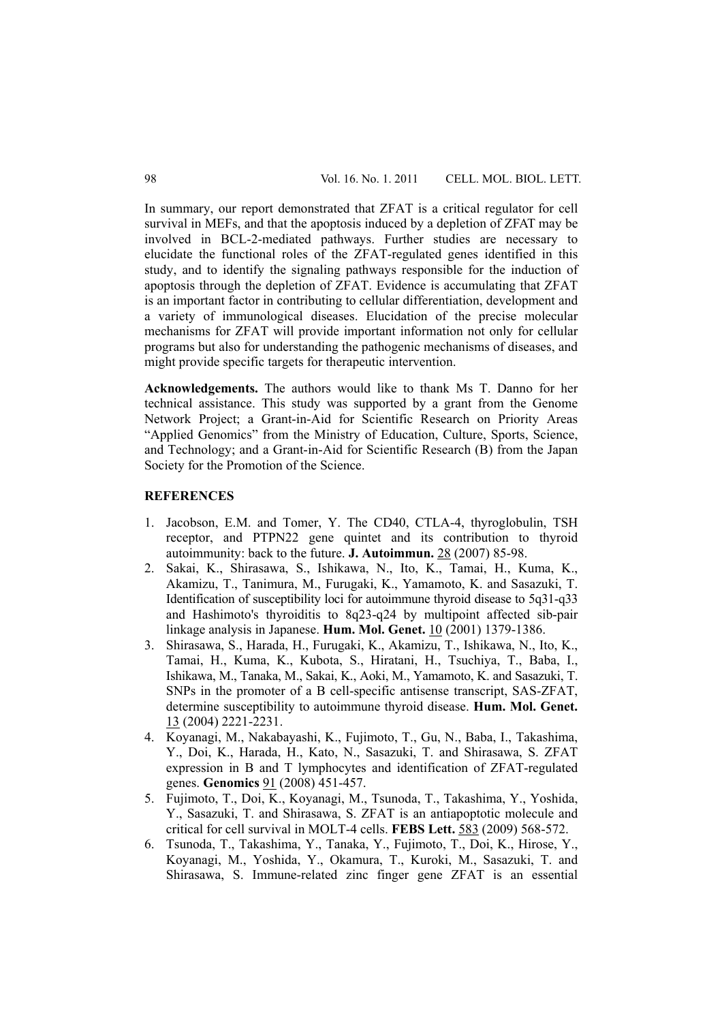In summary, our report demonstrated that ZFAT is a critical regulator for cell survival in MEFs, and that the apoptosis induced by a depletion of ZFAT may be involved in BCL-2-mediated pathways. Further studies are necessary to elucidate the functional roles of the ZFAT-regulated genes identified in this study, and to identify the signaling pathways responsible for the induction of apoptosis through the depletion of ZFAT. Evidence is accumulating that ZFAT is an important factor in contributing to cellular differentiation, development and a variety of immunological diseases. Elucidation of the precise molecular mechanisms for ZFAT will provide important information not only for cellular programs but also for understanding the pathogenic mechanisms of diseases, and might provide specific targets for therapeutic intervention.

**Acknowledgements.** The authors would like to thank Ms T. Danno for her technical assistance. This study was supported by a grant from the Genome Network Project; a Grant-in-Aid for Scientific Research on Priority Areas "Applied Genomics" from the Ministry of Education, Culture, Sports, Science, and Technology; and a Grant-in-Aid for Scientific Research (B) from the Japan Society for the Promotion of the Science.

### **REFERENCES**

- 1. Jacobson, E.M. and Tomer, Y. The CD40, CTLA-4, thyroglobulin, TSH receptor, and PTPN22 gene quintet and its contribution to thyroid autoimmunity: back to the future. **J. Autoimmun.** 28 (2007) 85-98.
- 2. Sakai, K., Shirasawa, S., Ishikawa, N., Ito, K., Tamai, H., Kuma, K., Akamizu, T., Tanimura, M., Furugaki, K., Yamamoto, K. and Sasazuki, T. Identification of susceptibility loci for autoimmune thyroid disease to 5q31-q33 and Hashimoto's thyroiditis to 8q23-q24 by multipoint affected sib-pair linkage analysis in Japanese. **Hum. Mol. Genet.** 10 (2001) 1379-1386.
- 3. Shirasawa, S., Harada, H., Furugaki, K., Akamizu, T., Ishikawa, N., Ito, K., Tamai, H., Kuma, K., Kubota, S., Hiratani, H., Tsuchiya, T., Baba, I., Ishikawa, M., Tanaka, M., Sakai, K., Aoki, M., Yamamoto, K. and Sasazuki, T. SNPs in the promoter of a B cell-specific antisense transcript, SAS-ZFAT, determine susceptibility to autoimmune thyroid disease. **Hum. Mol. Genet.** 13 (2004) 2221-2231.
- 4. Koyanagi, M., Nakabayashi, K., Fujimoto, T., Gu, N., Baba, I., Takashima, Y., Doi, K., Harada, H., Kato, N., Sasazuki, T. and Shirasawa, S. ZFAT expression in B and T lymphocytes and identification of ZFAT-regulated genes. **Genomics** 91 (2008) 451-457.
- 5. Fujimoto, T., Doi, K., Koyanagi, M., Tsunoda, T., Takashima, Y., Yoshida, Y., Sasazuki, T. and Shirasawa, S. ZFAT is an antiapoptotic molecule and critical for cell survival in MOLT-4 cells. **FEBS Lett.** 583 (2009) 568-572.
- 6. Tsunoda, T., Takashima, Y., Tanaka, Y., Fujimoto, T., Doi, K., Hirose, Y., Koyanagi, M., Yoshida, Y., Okamura, T., Kuroki, M., Sasazuki, T. and Shirasawa, S. Immune-related zinc finger gene ZFAT is an essential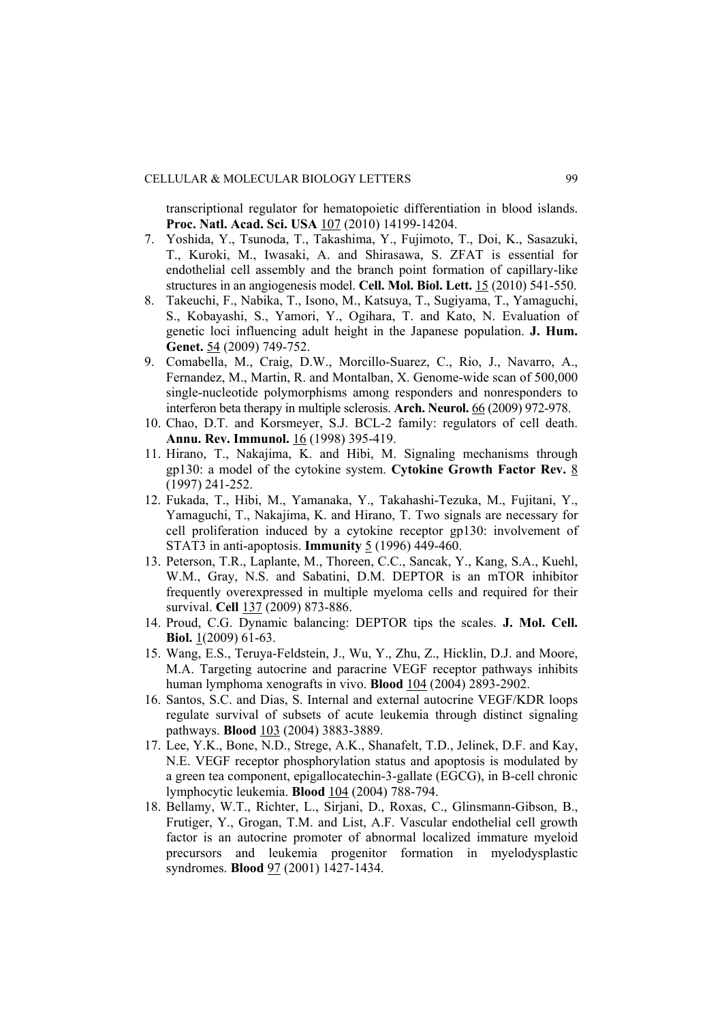### CELLULAR & MOLECULAR BIOLOGY LETTERS 99

transcriptional regulator for hematopoietic differentiation in blood islands. **Proc. Natl. Acad. Sci. USA** 107 (2010) 14199-14204.

- 7. Yoshida, Y., Tsunoda, T., Takashima, Y., Fujimoto, T., Doi, K., Sasazuki, T., Kuroki, M., Iwasaki, A. and Shirasawa, S. ZFAT is essential for endothelial cell assembly and the branch point formation of capillary-like structures in an angiogenesis model. **Cell. Mol. Biol. Lett.** 15 (2010) 541-550.
- 8. Takeuchi, F., Nabika, T., Isono, M., Katsuya, T., Sugiyama, T., Yamaguchi, S., Kobayashi, S., Yamori, Y., Ogihara, T. and Kato, N. Evaluation of genetic loci influencing adult height in the Japanese population. **J. Hum. Genet.** 54 (2009) 749-752.
- 9. Comabella, M., Craig, D.W., Morcillo-Suarez, C., Rio, J., Navarro, A., Fernandez, M., Martin, R. and Montalban, X. Genome-wide scan of 500,000 single-nucleotide polymorphisms among responders and nonresponders to interferon beta therapy in multiple sclerosis. **Arch. Neurol.** 66 (2009) 972-978.
- 10. Chao, D.T. and Korsmeyer, S.J. BCL-2 family: regulators of cell death. **Annu. Rev. Immunol.** 16 (1998) 395-419.
- 11. Hirano, T., Nakajima, K. and Hibi, M. Signaling mechanisms through gp130: a model of the cytokine system. **Cytokine Growth Factor Rev.** 8 (1997) 241-252.
- 12. Fukada, T., Hibi, M., Yamanaka, Y., Takahashi-Tezuka, M., Fujitani, Y., Yamaguchi, T., Nakajima, K. and Hirano, T. Two signals are necessary for cell proliferation induced by a cytokine receptor gp130: involvement of STAT3 in anti-apoptosis. **Immunity** 5 (1996) 449-460.
- 13. Peterson, T.R., Laplante, M., Thoreen, C.C., Sancak, Y., Kang, S.A., Kuehl, W.M., Gray, N.S. and Sabatini, D.M. DEPTOR is an mTOR inhibitor frequently overexpressed in multiple myeloma cells and required for their survival. **Cell** 137 (2009) 873-886.
- 14. Proud, C.G. Dynamic balancing: DEPTOR tips the scales. **J. Mol. Cell. Biol.** 1(2009) 61-63.
- 15. Wang, E.S., Teruya-Feldstein, J., Wu, Y., Zhu, Z., Hicklin, D.J. and Moore, M.A. Targeting autocrine and paracrine VEGF receptor pathways inhibits human lymphoma xenografts in vivo. **Blood** 104 (2004) 2893-2902.
- 16. Santos, S.C. and Dias, S. Internal and external autocrine VEGF/KDR loops regulate survival of subsets of acute leukemia through distinct signaling pathways. **Blood** 103 (2004) 3883-3889.
- 17. Lee, Y.K., Bone, N.D., Strege, A.K., Shanafelt, T.D., Jelinek, D.F. and Kay, N.E. VEGF receptor phosphorylation status and apoptosis is modulated by a green tea component, epigallocatechin-3-gallate (EGCG), in B-cell chronic lymphocytic leukemia. **Blood** 104 (2004) 788-794.
- 18. Bellamy, W.T., Richter, L., Sirjani, D., Roxas, C., Glinsmann-Gibson, B., Frutiger, Y., Grogan, T.M. and List, A.F. Vascular endothelial cell growth factor is an autocrine promoter of abnormal localized immature myeloid precursors and leukemia progenitor formation in myelodysplastic syndromes. **Blood** 97 (2001) 1427-1434.